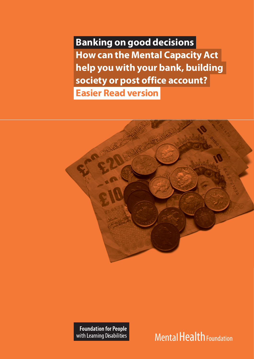**Banking on good decisions How can the Mental Capacity Act help you with your bank, building society or post office account? Easier Read version**



**Foundation for People** with Learning Disabilities

Mental Health Foundation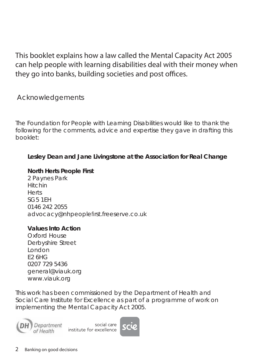This booklet explains how a law called the Mental Capacity Act 2005 can help people with learning disabilities deal with their money when they go into banks, building societies and post offices.

Acknowledgements

The Foundation for People with Learning Disabilities would like to thank the following for the comments, advice and expertise they gave in drafting this booklet:

### **Lesley Dean and Jane Livingstone at the Association for Real Change**

#### **North Herts People First**

2 Paynes Park Hitchin **Herts** SG5 1EH 0146 242 2055 advocacy@nhpeoplefirst.freeserve.co.uk

#### **Values Into Action**

Oxford House Derbyshire Street London E2 6HG 0207 729 5436 general@viauk.org www.viauk.org

*This work has been commissioned by the Department of Health and Social Care Institute for Excellence as part of a programme of work on implementing the Mental Capacity Act 2005.*

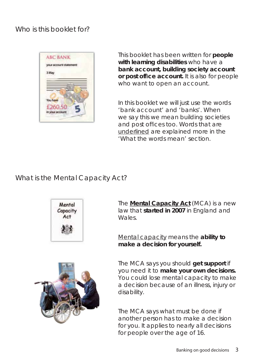## Who is this booklet for?



This booklet has been written for **people with learning disabilities** who have a **bank account, building society account or post office account.** It is also for people who want to open an account.

In this booklet we will just use the words 'bank account' and 'banks'. When we say this we mean building societies and post offices too. Words that are underlined are explained more in the 'What the words mean' section.

# What is the Mental Capacity Act?



The **Mental Capacity Act** (MCA) is a new law that **started in 2007** in England and Wales.

Mental capacity means the **ability to make a decision for yourself.**



The MCA says what must be done if another person has to make a decision for you. It applies to nearly all decisions for people over the age of 16.

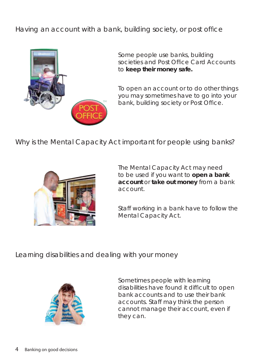Having an account with a bank, building society, or post office



Some people use banks, building societies and Post Office Card Accounts to **keep their money safe.**

To open an account or to do other things you may sometimes have to go into your bank, building society or Post Office.

Why is the Mental Capacity Act important for people using banks?



The Mental Capacity Act may need to be used if you want to **open a bank account** or **take out money** from a bank account.

Staff working in a bank have to follow the Mental Capacity Act.

Learning disabilities and dealing with your money



Sometimes people with learning disabilities have found it difficult to open bank accounts and to use their bank accounts. Staff may think the person cannot manage their account, even if they can.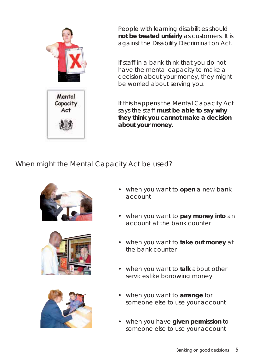

People with learning disabilities should **not be treated unfairly** as customers. It is against the Disability Discrimination Act.

If staff in a bank think that you do not have the mental capacity to make a decision about your money, they might be worried about serving you.

If this happens the Mental Capacity Act says the staff **must be able to say why they think you cannot make a decision about your money.**

When might the Mental Capacity Act be used?







- when you want to **open** a new bank account
- when you want to **pay money into** an account at the bank counter
- when you want to take out money at the bank counter
- when you want to **talk** about other services like borrowing money
- when you want to **arrange** for someone else to use your account
- when you have **given permission** to someone else to use your account •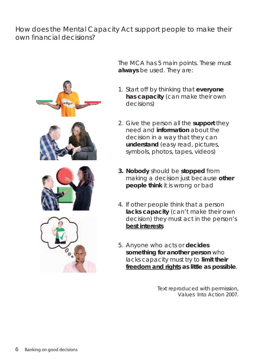## How does the Mental Capacity Act support people to make their own financial decisions?



The MCA has 5 main points. These must **always** be used. They are:

- 1. Start off by thinking that everyone **has capacity** (can make their own decisions)
- 2. Give the person all the **support** they need and **information** about the decision in a way that they can **understand** (easy read, pictures, symbols, photos, tapes, videos)
- **Nobody** should be **stopped** from **3.** making a decision just because **other people think** it is wrong or bad
- 4. If other people think that a person **lacks capacity** (can't make their own decision) they must act in the person's **best interests**
- Anyone who acts or **decides**  5. **something for another person** who lacks capacity must try to **limit their freedom and rights as little as possible**.

Text reproduced with permission, Values Into Action 2007.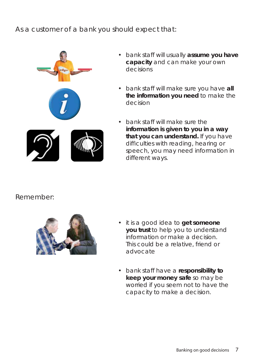As a customer of a bank you should expect that:



- bank staff will usually **assume you have capacity** and can make your own decisions
- bank staff will make sure you have all **the information you need** to make the decision
- bank staff will make sure the **information is given to you in a way that you can understand.** If you have difficulties with reading, hearing or speech, you may need information in different ways.

### Remember:



- it is a good idea to **get someone you trust** to help you to understand information or make a decision. This could be a relative, friend or advocate
- bank staff have a **responsibility to**  •**keep your money safe** so may be worried if you seem not to have the capacity to make a decision.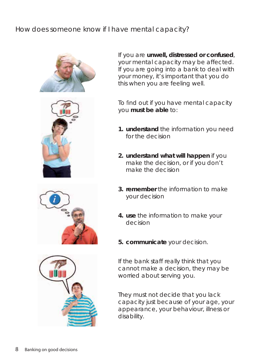# How does someone know if I have mental capacity?







To find out if you have mental capacity you **must be able** to:

- **understand** the information you need **1.** for the decision
- **understand what will happen** if you **2.** make the decision, or if you don't make the decision
- **remember** the information to make **3.** your decision
- **use** the information to make your **4.** decision
- **communicate** your decision. **5.**

If the bank staff really think that you cannot make a decision, they may be worried about serving you.

They must not decide that you lack capacity just because of your age, your appearance, your behaviour, illness or disability.

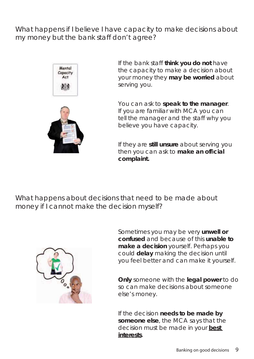What happens if I believe I have capacity to make decisions about my money but the bank staff don't agree?



If the bank staff **think you do not** have the capacity to make a decision about your money they **may be worried** about serving you.

You can ask to **speak to the manager**. If you are familiar with MCA you can tell the manager and the staff why you believe you have capacity.

If they are **still unsure** about serving you then you can ask to **make an official complaint.**

What happens about decisions that need to be made about money if I cannot make the decision myself?



Sometimes you may be very **unwell or confused** and because of this **unable to make a decision** yourself. Perhaps you could **delay** making the decision until you feel better and can make it yourself.

**Only** someone with the **legal power** to do so can make decisions about someone else's money.

If the decision **needs to be made by someone else**, the MCA says that the decision must be made in your **best interests**.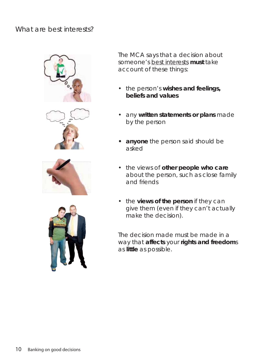### What are best interests?









The MCA says that a decision about someone's best interests **must** take account of these things:

- the person's wishes and feelings, **beliefs and values**
- any **written statements or plans** made by the person
- **anyone** the person said should be **•** asked
- the views of other people who care about the person, such as close family and friends
- the **views of the person** if they can give them (even if they can't actually make the decision).

The decision made must be made in a way that **affects** your **rights and freedom**s as **little** as possible.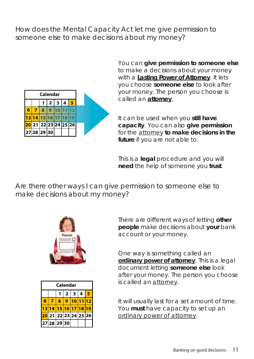## How does the Mental Capacity Act let me give permission to someone else to make decisions about my money?

| Calendar |                      |                |  |                  |  |  |  |  |
|----------|----------------------|----------------|--|------------------|--|--|--|--|
|          |                      |                |  | 1 2 3 4 5        |  |  |  |  |
|          | 71                   | 8 <sup>1</sup> |  | 9   10   11   12 |  |  |  |  |
|          | 13 14 15 16 17 18 19 |                |  |                  |  |  |  |  |
|          | 20 21 22 23 24 25 26 |                |  |                  |  |  |  |  |
|          | 27 28 29 30          |                |  |                  |  |  |  |  |

You can **give permission to someone else** to make a decisions about your money with a **Lasting Power of Attorney**. It lets you choose **someone else** to look after your money. The person you choose is called an **attorney**.

It can be used when you **still have capacity**. You can also **give permission** for the attorney **to make decisions in the future** if you are not able to.

This is a **legal** procedure and you will **need** the help of someone you **trust**.

Are there other ways I can give permission to someone else to make decisions about my money?



| Calendar |                                   |   |              |              |                  |   |  |  |  |  |  |
|----------|-----------------------------------|---|--------------|--------------|------------------|---|--|--|--|--|--|
|          |                                   |   | $\mathbf{2}$ | $\mathbf{3}$ | $\boldsymbol{4}$ | 8 |  |  |  |  |  |
| 6        |                                   | 8 | ♦            | 10           |                  |   |  |  |  |  |  |
|          | 13 14 15 16 17 18 19              |   |              |              |                  |   |  |  |  |  |  |
|          | <mark>20</mark> 21 22 23 24 25 26 |   |              |              |                  |   |  |  |  |  |  |
|          | 27 28 29 30                       |   |              |              |                  |   |  |  |  |  |  |

There are different ways of letting **other people** make decisions about **your** bank account or your money.

One way is something called an **ordinary power of attorney**. This is a legal document letting **someone else** look after your money. The person you choose is called an attorney.

It will usually last for a set amount of time. You **must** have capacity to set up an ordinary power of attorney.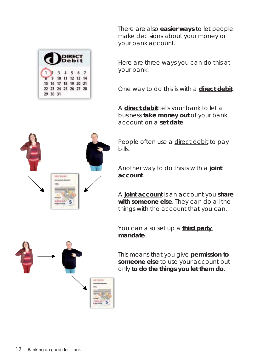There are also **easier ways** to let people make decisions about your money or your bank account.

Here are three ways you can do this at your bank.

One way to do this is with a **direct debit**.

A **direct debit** tells your bank to let a business **take money out** of your bank account on a **set date**.

People often use a direct debit to pay bills.

Another way to do this is with a **joint account**.

A **joint account** is an account you **share with someone else**. They can do all the things with the account that you can.

You can also set up a **third party mandate**.

This means that you give **permission to someone else** to use your account but only **to do the things you let them do**.





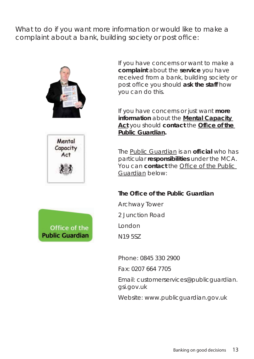What to do if you want more information or would like to make a complaint about a bank, building society or post office:







If you have concerns or want to make a **complaint** about the **service** you have received from a bank, building society or post office you should ask the staff how you can do this.

If you have concerns or just want **more information** about the **Mental Capacity**  Act you should contact the **Office of the Public Guardian.**

The Public Guardian is an **official** who has particular **responsibilities** under the MCA. You can **contact** the Office of the Public Guardian below:

#### **The Office of the Public Guardian**

Archway Tower

2 Junction Road

London

N19 5SZ

Phone: 0845 330 2900

Fax: 0207 664 7705

Email: customerservices@publicguardian. gsi.gov.uk

Website: www.publicguardian.gov.uk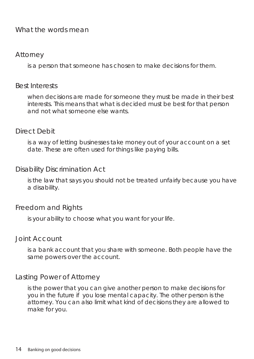### What the words mean

#### Attorney

is a person that someone has chosen to make decisions for them.

#### Best Interests

when decisions are made for someone they must be made in their best interests. This means that what is decided must be best for that person and not what someone else wants.

#### Direct Debit

is a way of letting businesses take money out of your account on a set date. These are often used for things like paying bills.

#### Disability Discrimination Act

is the law that says you should not be treated unfairly because you have a disability.

#### Freedom and Rights

is your ability to choose what you want for your life.

#### Joint Account

is a bank account that you share with someone. Both people have the same powers over the account.

### Lasting Power of Attorney

is the power that you can give another person to make decisions for you in the future if you lose mental capacity. The other person is the attorney. You can also limit what kind of decisions they are allowed to make for you.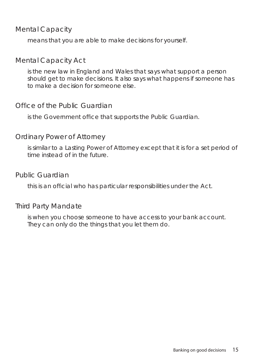### Mental Capacity

means that you are able to make decisions for yourself.

### Mental Capacity Act

is the new law in England and Wales that says what support a person should get to make decisions. It also says what happens if someone has to make a decision for someone else.

### Office of the Public Guardian

is the Government office that supports the Public Guardian.

### Ordinary Power of Attorney

is similar to a Lasting Power of Attorney except that it is for a set period of time instead of in the future.

### Public Guardian

this is an official who has particular responsibilities under the Act.

### Third Party Mandate

is when you choose someone to have access to your bank account. They can only do the things that you let them do.